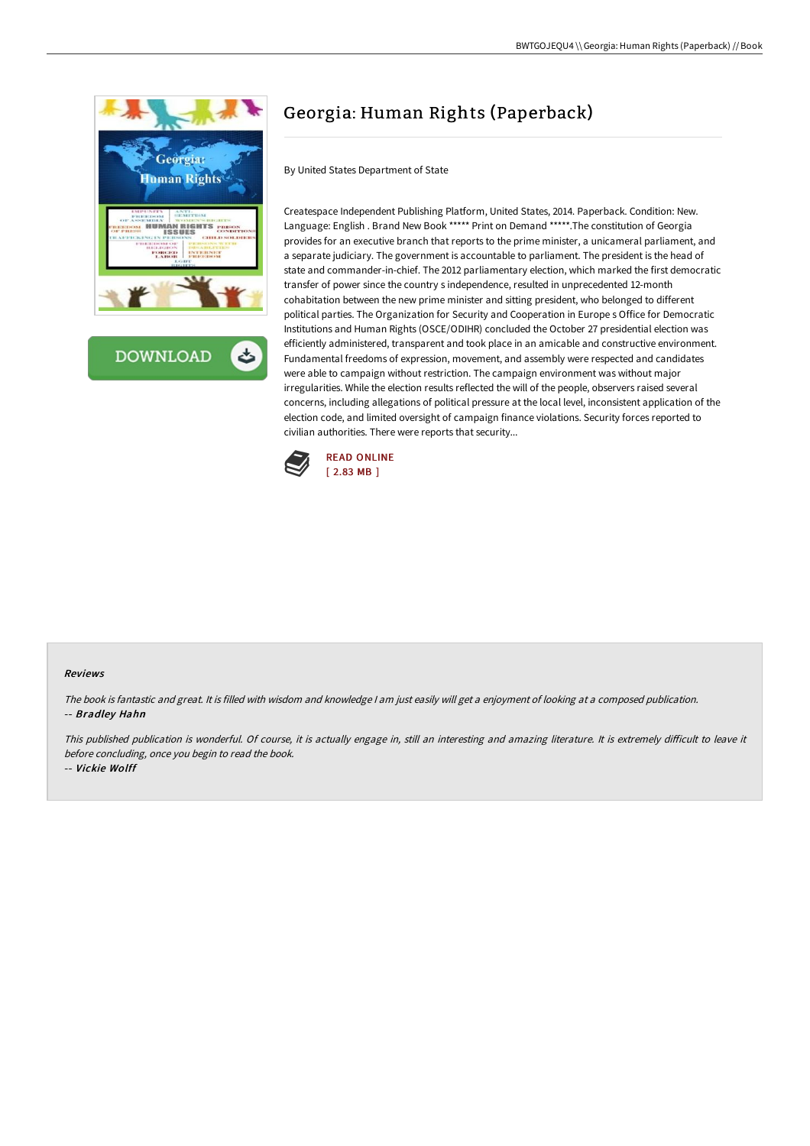



# Georgia: Human Rights (Paperback)

By United States Department of State

Createspace Independent Publishing Platform, United States, 2014. Paperback. Condition: New. Language: English . Brand New Book \*\*\*\*\* Print on Demand \*\*\*\*\*.The constitution of Georgia provides for an executive branch that reports to the prime minister, a unicameral parliament, and a separate judiciary. The government is accountable to parliament. The president is the head of state and commander-in-chief. The 2012 parliamentary election, which marked the first democratic transfer of power since the country s independence, resulted in unprecedented 12-month cohabitation between the new prime minister and sitting president, who belonged to different political parties. The Organization for Security and Cooperation in Europe s Office for Democratic Institutions and Human Rights (OSCE/ODIHR) concluded the October 27 presidential election was efficiently administered, transparent and took place in an amicable and constructive environment. Fundamental freedoms of expression, movement, and assembly were respected and candidates were able to campaign without restriction. The campaign environment was without major irregularities. While the election results reflected the will of the people, observers raised several concerns, including allegations of political pressure at the local level, inconsistent application of the election code, and limited oversight of campaign finance violations. Security forces reported to civilian authorities. There were reports that security...



#### Reviews

The book is fantastic and great. It is filled with wisdom and knowledge <sup>I</sup> am just easily will get <sup>a</sup> enjoyment of looking at <sup>a</sup> composed publication. -- Bradley Hahn

This published publication is wonderful. Of course, it is actually engage in, still an interesting and amazing literature. It is extremely difficult to leave it before concluding, once you begin to read the book.

-- Vickie Wolff